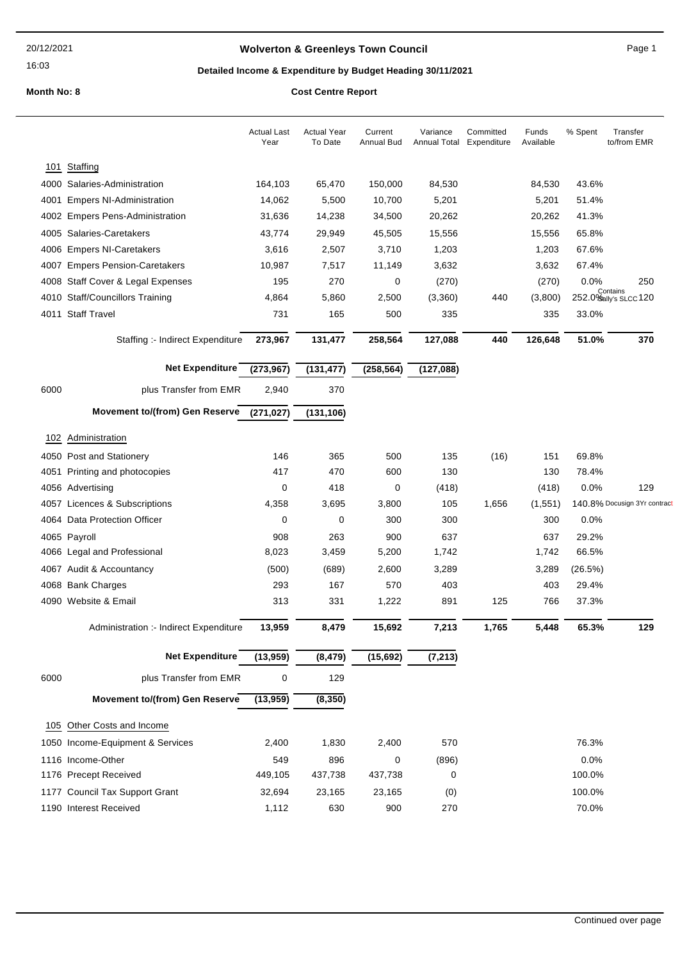16:03

## Wolverton & Greenleys Town Council **Accord 2018** Page 1

## Detailed Income & Expenditure by Budget Heading 30/11/2021

|      |                                        | <b>Actual Last</b><br>Year | <b>Actual Year</b><br>To Date | Current<br>Annual Bud | Variance<br>Annual Total | Committed<br>Expenditure | Funds<br>Available | % Spent | Transfer<br>to/from EMR           |
|------|----------------------------------------|----------------------------|-------------------------------|-----------------------|--------------------------|--------------------------|--------------------|---------|-----------------------------------|
|      | 101 Staffing                           |                            |                               |                       |                          |                          |                    |         |                                   |
|      | 4000 Salaries-Administration           | 164,103                    | 65,470                        | 150,000               | 84,530                   |                          | 84,530             | 43.6%   |                                   |
| 4001 | <b>Empers NI-Administration</b>        | 14,062                     | 5,500                         | 10,700                | 5,201                    |                          | 5,201              | 51.4%   |                                   |
| 4002 | <b>Empers Pens-Administration</b>      | 31,636                     | 14,238                        | 34,500                | 20,262                   |                          | 20,262             | 41.3%   |                                   |
|      | 4005 Salaries-Caretakers               | 43,774                     | 29,949                        | 45,505                | 15,556                   |                          | 15,556             | 65.8%   |                                   |
|      | 4006 Empers NI-Caretakers              | 3,616                      | 2,507                         | 3,710                 | 1,203                    |                          | 1,203              | 67.6%   |                                   |
| 4007 | <b>Empers Pension-Caretakers</b>       | 10,987                     | 7,517                         | 11,149                | 3,632                    |                          | 3,632              | 67.4%   |                                   |
| 4008 | Staff Cover & Legal Expenses           | 195                        | 270                           | 0                     | (270)                    |                          | (270)              | 0.0%    | 250                               |
|      | 4010 Staff/Councillors Training        | 4,864                      | 5,860                         | 2,500                 | (3,360)                  | 440                      | (3,800)            |         | Contains<br>252.0% ally's SLCC120 |
|      | 4011 Staff Travel                      | 731                        | 165                           | 500                   | 335                      |                          | 335                | 33.0%   |                                   |
|      | Staffing :- Indirect Expenditure       | 273,967                    | 131,477                       | 258,564               | 127,088                  | 440                      | 126,648            | 51.0%   | 370                               |
|      | Net Expenditure                        | (273, 967)                 | (131, 477)                    | (258, 564)            | (127, 088)               |                          |                    |         |                                   |
| 6000 | plus Transfer from EMR                 | 2,940                      | 370                           |                       |                          |                          |                    |         |                                   |
|      | Movement to/(from) Gen Reserve         | (271, 027)                 | (131, 106)                    |                       |                          |                          |                    |         |                                   |
| 102  | Administration                         |                            |                               |                       |                          |                          |                    |         |                                   |
|      | 4050 Post and Stationery               | 146                        | 365                           | 500                   | 135                      | (16)                     | 151                | 69.8%   |                                   |
| 4051 | Printing and photocopies               | 417                        | 470                           | 600                   | 130                      |                          | 130                | 78.4%   |                                   |
|      | 4056 Advertising                       | $\mathbf 0$                | 418                           | 0                     | (418)                    |                          | (418)              | 0.0%    | 129                               |
|      | 4057 Licences & Subscriptions          | 4,358                      | 3,695                         | 3,800                 | 105                      | 1,656                    | (1, 551)           |         | 140.8% Docusign 3Yr contract      |
|      | 4064 Data Protection Officer           | 0                          | 0                             | 300                   | 300                      |                          | 300                | 0.0%    |                                   |
|      | 4065 Payroll                           | 908                        | 263                           | 900                   | 637                      |                          | 637                | 29.2%   |                                   |
|      | 4066 Legal and Professional            | 8,023                      | 3,459                         | 5,200                 | 1,742                    |                          | 1,742              | 66.5%   |                                   |
|      | 4067 Audit & Accountancy               | (500)                      | (689)                         | 2,600                 | 3,289                    |                          | 3,289              | (26.5%) |                                   |
|      | 4068 Bank Charges                      | 293                        | 167                           | 570                   | 403                      |                          | 403                | 29.4%   |                                   |
|      | 4090 Website & Email                   | 313                        | 331                           | 1,222                 | 891                      | 125                      | 766                | 37.3%   |                                   |
|      | Administration :- Indirect Expenditure | 13,959                     | 8,479                         | 15,692                | 7,213                    | 1,765                    | 5,448              | 65.3%   | 129                               |
|      | Net Expenditure                        | (13,959)                   | (8, 479)                      | (15,692)              | (7, 213)                 |                          |                    |         |                                   |
| 6000 | plus Transfer from EMR                 | 0                          | 129                           |                       |                          |                          |                    |         |                                   |
|      | Movement to/(from) Gen Reserve         | (13,959)                   | (8,350)                       |                       |                          |                          |                    |         |                                   |
| 105  | Other Costs and Income                 |                            |                               |                       |                          |                          |                    |         |                                   |
|      | 1050 Income-Equipment & Services       | 2,400                      | 1,830                         | 2,400                 | 570                      |                          |                    | 76.3%   |                                   |
|      | 1116 Income-Other                      | 549                        | 896                           | 0                     | (896)                    |                          |                    | 0.0%    |                                   |
|      | 1176 Precept Received                  | 449,105                    | 437,738                       | 437,738               | 0                        |                          |                    | 100.0%  |                                   |
|      | 1177 Council Tax Support Grant         | 32,694                     | 23,165                        | 23,165                | (0)                      |                          |                    | 100.0%  |                                   |
|      | 1190 Interest Received                 | 1,112                      | 630                           | 900                   | 270                      |                          |                    | 70.0%   |                                   |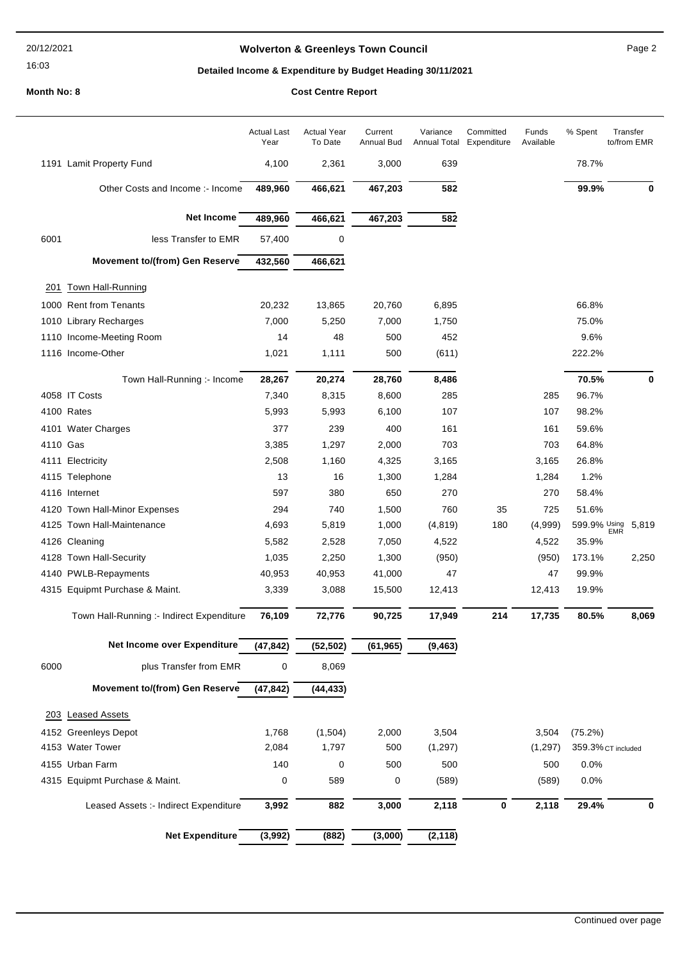#### 20/12/2021

# 16:03

## Wolverton & Greenleys Town Council **Page 2** Page 2

# Detailed Income & Expenditure by Budget Heading 30/11/2021

|          |                                           | <b>Actual Last</b><br>Year | <b>Actual Year</b><br>To Date | Current<br><b>Annual Bud</b> | Variance<br><b>Annual Total</b> | Committed<br>Expenditure | Funds<br>Available | % Spent             | Transfer<br>to/from EMR |
|----------|-------------------------------------------|----------------------------|-------------------------------|------------------------------|---------------------------------|--------------------------|--------------------|---------------------|-------------------------|
|          | 1191 Lamit Property Fund                  | 4,100                      | 2,361                         | 3,000                        | 639                             |                          |                    | 78.7%               |                         |
|          | Other Costs and Income :- Income          | 489,960                    | 466,621                       | 467,203                      | 582                             |                          |                    | 99.9%               | 0                       |
|          | Net Income                                | 489,960                    | 466,621                       | 467,203                      | 582                             |                          |                    |                     |                         |
| 6001     | less Transfer to EMR                      | 57,400                     | 0                             |                              |                                 |                          |                    |                     |                         |
|          | Movement to/(from) Gen Reserve            | 432,560                    | 466,621                       |                              |                                 |                          |                    |                     |                         |
| 201      | <b>Town Hall-Running</b>                  |                            |                               |                              |                                 |                          |                    |                     |                         |
|          | 1000 Rent from Tenants                    | 20,232                     | 13,865                        | 20,760                       | 6,895                           |                          |                    | 66.8%               |                         |
|          | 1010 Library Recharges                    | 7,000                      | 5,250                         | 7,000                        | 1,750                           |                          |                    | 75.0%               |                         |
| 1110     | Income-Meeting Room                       | 14                         | 48                            | 500                          | 452                             |                          |                    | 9.6%                |                         |
|          | 1116 Income-Other                         | 1,021                      | 1,111                         | 500                          | (611)                           |                          |                    | 222.2%              |                         |
|          |                                           |                            |                               |                              |                                 |                          |                    |                     |                         |
|          | Town Hall-Running :- Income               | 28,267                     | 20,274                        | 28,760                       | 8,486                           |                          |                    | 70.5%               | $\mathbf 0$             |
|          | 4058 IT Costs                             | 7,340                      | 8,315                         | 8,600                        | 285                             |                          | 285                | 96.7%               |                         |
|          | 4100 Rates                                | 5,993                      | 5,993                         | 6,100                        | 107                             |                          | 107                | 98.2%               |                         |
|          | 4101 Water Charges                        | 377                        | 239                           | 400                          | 161                             |                          | 161                | 59.6%               |                         |
| 4110 Gas |                                           | 3,385                      | 1,297                         | 2,000                        | 703                             |                          | 703                | 64.8%               |                         |
|          | 4111 Electricity                          | 2,508                      | 1,160                         | 4,325                        | 3,165                           |                          | 3,165              | 26.8%               |                         |
|          | 4115 Telephone                            | 13                         | 16                            | 1,300                        | 1,284                           |                          | 1,284              | 1.2%                |                         |
|          | 4116 Internet                             | 597                        | 380                           | 650                          | 270                             |                          | 270                | 58.4%               |                         |
|          | 4120 Town Hall-Minor Expenses             | 294                        | 740                           | 1,500                        | 760                             | 35                       | 725                | 51.6%               |                         |
|          | 4125 Town Hall-Maintenance                | 4,693                      | 5,819                         | 1,000                        | (4, 819)                        | 180                      | (4,999)            | 599.9% Using<br>EMR | 5,819                   |
|          | 4126 Cleaning                             | 5,582                      | 2,528                         | 7,050                        | 4,522                           |                          | 4,522              | 35.9%               |                         |
|          | 4128 Town Hall-Security                   | 1,035                      | 2,250                         | 1,300                        | (950)                           |                          | (950)              | 173.1%              | 2,250                   |
|          | 4140 PWLB-Repayments                      | 40,953                     | 40,953                        | 41,000                       | 47                              |                          | 47                 | 99.9%               |                         |
|          | 4315 Equipmt Purchase & Maint.            | 3,339                      | 3,088                         | 15,500                       | 12,413                          |                          | 12,413             | 19.9%               |                         |
|          | Town Hall-Running :- Indirect Expenditure | 76,109                     | 72,776                        | 90,725                       | 17,949                          | 214                      | 17,735             | 80.5%               | 8,069                   |
|          | Net Income over Expenditure               | (47, 842)                  | (52, 502)                     | (61, 965)                    | (9, 463)                        |                          |                    |                     |                         |
| 6000     | plus Transfer from EMR                    | 0                          | 8,069                         |                              |                                 |                          |                    |                     |                         |
|          | Movement to/(from) Gen Reserve            | (47, 842)                  | (44, 433)                     |                              |                                 |                          |                    |                     |                         |
|          | 203 Leased Assets                         |                            |                               |                              |                                 |                          |                    |                     |                         |
|          | 4152 Greenleys Depot                      | 1,768                      | (1,504)                       | 2,000                        | 3,504                           |                          | 3,504              | (75.2%)             |                         |
| 4153     | <b>Water Tower</b>                        | 2,084                      | 1,797                         | 500                          | (1, 297)                        |                          | (1, 297)           |                     | 359.3% CT included      |
|          | 4155 Urban Farm                           | 140                        | 0                             | 500                          | 500                             |                          | 500                | 0.0%                |                         |
|          | 4315 Equipmt Purchase & Maint.            | 0                          | 589                           | 0                            | (589)                           |                          | (589)              | 0.0%                |                         |
|          |                                           |                            |                               |                              |                                 |                          |                    |                     |                         |
|          | Leased Assets :- Indirect Expenditure     | 3,992                      | 882                           | 3,000                        | 2,118                           | 0                        | 2,118              | 29.4%               | 0                       |
|          | Net Expenditure                           | (3,992)                    | (882)                         | (3,000)                      | (2, 118)                        |                          |                    |                     |                         |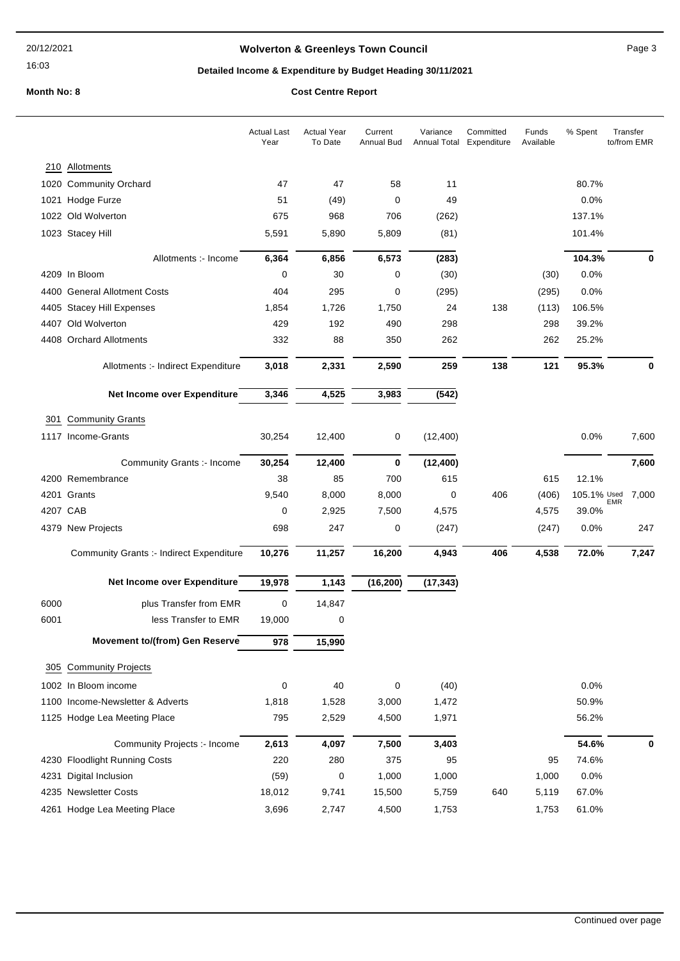16:03

## Wolverton & Greenleys Town Council **Access 20 and 20 and 20 and 20 and 20 and 20 and 20 and 20 and 20 and 20 and 20 and 20 and 20 and 20 and 20 and 20 and 20 and 20 and 20 and 20 and 20 and 20 and 20 and 20 and 20 and 20 a**

## Detailed Income & Expenditure by Budget Heading 30/11/2021

|          |                                          | <b>Actual Last</b><br>Year | <b>Actual Year</b><br>To Date | Current<br><b>Annual Bud</b> | Variance<br><b>Annual Total</b> | Committed<br>Expenditure | Funds<br>Available | % Spent     | Transfer<br>to/from EMR |
|----------|------------------------------------------|----------------------------|-------------------------------|------------------------------|---------------------------------|--------------------------|--------------------|-------------|-------------------------|
| 210      | Allotments                               |                            |                               |                              |                                 |                          |                    |             |                         |
|          | 1020 Community Orchard                   | 47                         | 47                            | 58                           | 11                              |                          |                    | 80.7%       |                         |
| 1021     | Hodge Furze                              | 51                         | (49)                          | 0                            | 49                              |                          |                    | 0.0%        |                         |
|          | 1022 Old Wolverton                       | 675                        | 968                           | 706                          | (262)                           |                          |                    | 137.1%      |                         |
|          | 1023 Stacey Hill                         | 5,591                      | 5,890                         | 5,809                        | (81)                            |                          |                    | 101.4%      |                         |
|          | Allotments :- Income                     | 6,364                      | 6,856                         | 6,573                        | (283)                           |                          |                    | 104.3%      | 0                       |
|          | 4209 In Bloom                            | 0                          | 30                            | 0                            | (30)                            |                          | (30)               | 0.0%        |                         |
|          | 4400 General Allotment Costs             | 404                        | 295                           | $\mathbf 0$                  | (295)                           |                          | (295)              | 0.0%        |                         |
|          | 4405 Stacey Hill Expenses                | 1,854                      | 1,726                         | 1,750                        | 24                              | 138                      | (113)              | 106.5%      |                         |
| 4407     | Old Wolverton                            | 429                        | 192                           | 490                          | 298                             |                          | 298                | 39.2%       |                         |
|          | 4408 Orchard Allotments                  | 332                        | 88                            | 350                          | 262                             |                          | 262                | 25.2%       |                         |
|          | Allotments :- Indirect Expenditure       | 3,018                      | 2,331                         | 2,590                        | 259                             | 138                      | 121                | 95.3%       | 0                       |
|          | Net Income over Expenditure              | 3,346                      | 4,525                         | 3,983                        | (542)                           |                          |                    |             |                         |
| 301      | <b>Community Grants</b>                  |                            |                               |                              |                                 |                          |                    |             |                         |
|          | 1117 Income-Grants                       | 30,254                     | 12,400                        | 0                            | (12,400)                        |                          |                    | 0.0%        | 7,600                   |
|          | <b>Community Grants :- Income</b>        | 30,254                     | 12,400                        | $\mathbf 0$                  | (12,400)                        |                          |                    |             | 7,600                   |
|          | 4200 Remembrance                         | 38                         | 85                            | 700                          | 615                             |                          | 615                | 12.1%       |                         |
|          | 4201 Grants                              | 9,540                      | 8,000                         | 8,000                        | 0                               | 406                      | (406)              | 105.1% Used | 7,000<br><b>EMR</b>     |
| 4207 CAB |                                          | 0                          | 2,925                         | 7,500                        | 4,575                           |                          | 4,575              | 39.0%       |                         |
|          | 4379 New Projects                        | 698                        | 247                           | 0                            | (247)                           |                          | (247)              | 0.0%        | 247                     |
|          | Community Grants :- Indirect Expenditure | 10,276                     | 11,257                        | 16,200                       | 4,943                           | 406                      | 4,538              | 72.0%       | 7,247                   |
|          | Net Income over Expenditure              | 19,978                     | 1,143                         | (16, 200)                    | (17, 343)                       |                          |                    |             |                         |
| 6000     | plus Transfer from EMR                   | $\pmb{0}$                  | 14,847                        |                              |                                 |                          |                    |             |                         |
| 6001     | less Transfer to EMR                     | 19,000                     | 0                             |                              |                                 |                          |                    |             |                         |
|          | Movement to/(from) Gen Reserve           | 978                        | 15,990                        |                              |                                 |                          |                    |             |                         |
| 305      | <b>Community Projects</b>                |                            |                               |                              |                                 |                          |                    |             |                         |
|          | 1002 In Bloom income                     | 0                          | 40                            | $\mathbf 0$                  | (40)                            |                          |                    | 0.0%        |                         |
|          | 1100 Income-Newsletter & Adverts         | 1,818                      | 1,528                         | 3,000                        | 1,472                           |                          |                    | 50.9%       |                         |
|          | 1125 Hodge Lea Meeting Place             | 795                        | 2,529                         | 4,500                        | 1,971                           |                          |                    | 56.2%       |                         |
|          | Community Projects :- Income             | 2,613                      | 4,097                         | 7,500                        | 3,403                           |                          |                    | 54.6%       | 0                       |
|          | 4230 Floodlight Running Costs            | 220                        | 280                           | 375                          | 95                              |                          | 95                 | 74.6%       |                         |
| 4231     | Digital Inclusion                        | (59)                       | 0                             | 1,000                        | 1,000                           |                          | 1,000              | 0.0%        |                         |
|          | 4235 Newsletter Costs                    | 18,012                     | 9,741                         | 15,500                       | 5,759                           | 640                      | 5,119              | 67.0%       |                         |
|          | 4261 Hodge Lea Meeting Place             | 3,696                      | 2,747                         | 4,500                        | 1,753                           |                          | 1,753              | 61.0%       |                         |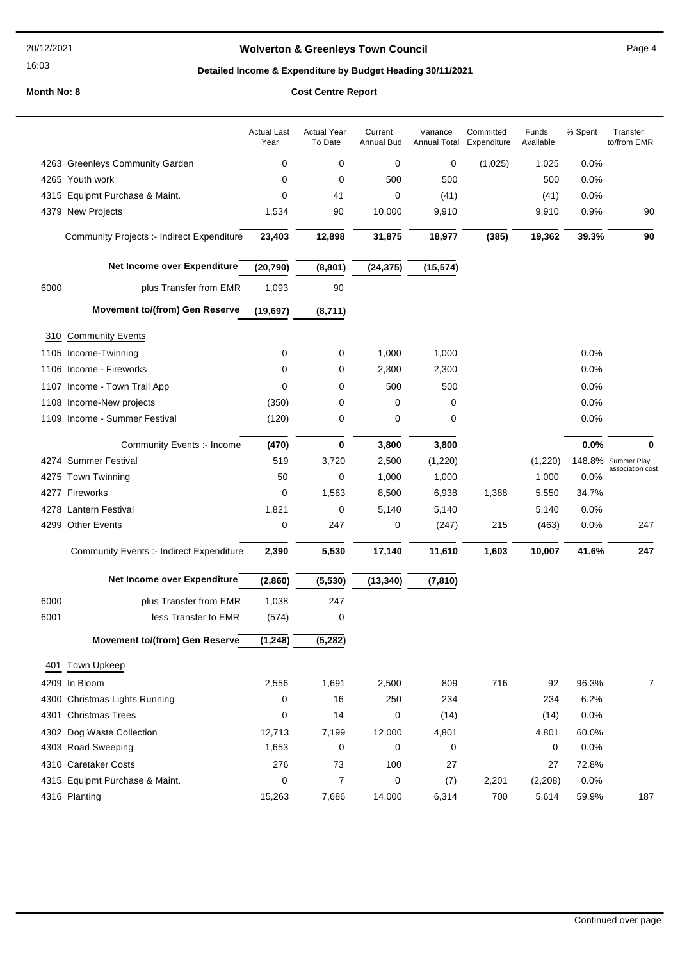#### 20/12/2021

16:03

## Wolverton & Greenleys Town Council **Page 4** Page 4

## Detailed Income & Expenditure by Budget Heading 30/11/2021

|      |                                                 | <b>Actual Last</b><br>Year | <b>Actual Year</b><br>To Date | Current<br><b>Annual Bud</b> | Variance<br><b>Annual Total</b> | Committed<br>Expenditure | Funds<br>Available | % Spent | Transfer<br>to/from EMR |
|------|-------------------------------------------------|----------------------------|-------------------------------|------------------------------|---------------------------------|--------------------------|--------------------|---------|-------------------------|
|      | 4263 Greenleys Community Garden                 | 0                          | 0                             | 0                            | 0                               | (1,025)                  | 1,025              | 0.0%    |                         |
|      | 4265 Youth work                                 | 0                          | 0                             | 500                          | 500                             |                          | 500                | 0.0%    |                         |
|      | 4315 Equipmt Purchase & Maint.                  | 0                          | 41                            | 0                            | (41)                            |                          | (41)               | 0.0%    |                         |
|      | 4379 New Projects                               | 1,534                      | 90                            | 10,000                       | 9,910                           |                          | 9,910              | 0.9%    | 90                      |
|      | Community Projects :- Indirect Expenditure      | 23,403                     | 12,898                        | 31,875                       | 18,977                          | (385)                    | 19,362             | 39.3%   | 90                      |
|      | Net Income over Expenditure                     | (20, 790)                  | (8, 801)                      | (24, 375)                    | (15, 574)                       |                          |                    |         |                         |
| 6000 | plus Transfer from EMR                          | 1,093                      | 90                            |                              |                                 |                          |                    |         |                         |
|      | Movement to/(from) Gen Reserve                  | (19, 697)                  | (8,711)                       |                              |                                 |                          |                    |         |                         |
| 310  | <b>Community Events</b>                         |                            |                               |                              |                                 |                          |                    |         |                         |
|      | 1105 Income-Twinning                            | 0                          | 0                             | 1,000                        | 1,000                           |                          |                    | 0.0%    |                         |
|      | 1106 Income - Fireworks                         | 0                          | 0                             | 2,300                        | 2,300                           |                          |                    | 0.0%    |                         |
|      | 1107 Income - Town Trail App                    | 0                          | 0                             | 500                          | 500                             |                          |                    | 0.0%    |                         |
|      | 1108 Income-New projects                        | (350)                      | 0                             | 0                            | 0                               |                          |                    | 0.0%    |                         |
|      | 1109 Income - Summer Festival                   | (120)                      | 0                             | $\mathbf 0$                  | 0                               |                          |                    | 0.0%    |                         |
|      | Community Events :- Income                      | (470)                      | 0                             | 3,800                        | 3,800                           |                          |                    | 0.0%    | 0                       |
|      | 4274 Summer Festival                            | 519                        | 3,720                         | 2,500                        | (1,220)                         |                          | (1,220)            |         | 148.8% Summer Play      |
|      | 4275 Town Twinning                              | 50                         | 0                             | 1,000                        | 1,000                           |                          | 1,000              | 0.0%    | association cost        |
|      | 4277 Fireworks                                  | 0                          | 1,563                         | 8,500                        | 6,938                           | 1,388                    | 5,550              | 34.7%   |                         |
|      | 4278 Lantern Festival                           | 1,821                      | 0                             | 5,140                        | 5,140                           |                          | 5,140              | 0.0%    |                         |
|      | 4299 Other Events                               | $\pmb{0}$                  | 247                           | 0                            | (247)                           | 215                      | (463)              | 0.0%    | 247                     |
|      | <b>Community Events :- Indirect Expenditure</b> | 2,390                      | 5,530                         | 17,140                       | 11,610                          | 1,603                    | 10,007             | 41.6%   | 247                     |
|      | Net Income over Expenditure                     | (2,860)                    | (5,530)                       | (13, 340)                    | (7, 810)                        |                          |                    |         |                         |
| 6000 | plus Transfer from EMR                          | 1,038                      | 247                           |                              |                                 |                          |                    |         |                         |
| 6001 | less Transfer to EMR                            | (574)                      | 0                             |                              |                                 |                          |                    |         |                         |
|      | Movement to/(from) Gen Reserve                  | (1, 248)                   | (5,282)                       |                              |                                 |                          |                    |         |                         |
|      | 401 Town Upkeep                                 |                            |                               |                              |                                 |                          |                    |         |                         |
|      | 4209 In Bloom                                   | 2,556                      | 1,691                         | 2,500                        | 809                             | 716                      | 92                 | 96.3%   | 7                       |
|      | 4300 Christmas Lights Running                   | 0                          | 16                            | 250                          | 234                             |                          | 234                | 6.2%    |                         |
|      | 4301 Christmas Trees                            | 0                          | 14                            | 0                            | (14)                            |                          | (14)               | 0.0%    |                         |
|      | 4302 Dog Waste Collection                       | 12,713                     | 7,199                         | 12,000                       | 4,801                           |                          | 4,801              | 60.0%   |                         |
|      | 4303 Road Sweeping                              | 1,653                      | 0                             | 0                            | 0                               |                          | 0                  | 0.0%    |                         |
|      | 4310 Caretaker Costs                            | 276                        | 73                            | 100                          | 27                              |                          | 27                 | 72.8%   |                         |
|      | 4315 Equipmt Purchase & Maint.                  | 0                          | $\overline{7}$                | 0                            | (7)                             | 2,201                    | (2,208)            | 0.0%    |                         |
|      | 4316 Planting                                   | 15,263                     | 7,686                         | 14,000                       | 6,314                           | 700                      | 5,614              | 59.9%   | 187                     |